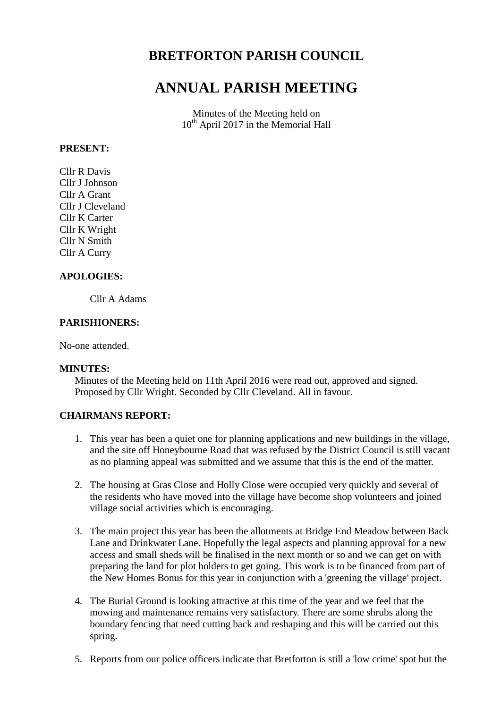## **BRETFORTON PARISH COUNCIL**

# **ANNUAL PARISH MEETING**

Minutes of the Meeting held on 10<sup>th</sup> April 2017 in the Memorial Hall

#### **PRESENT:**

Cllr R Davis Cllr J Johnson Cllr A Grant Cllr J Cleveland Cllr K Carter Cllr K Wright Cllr N Smith Cllr A Curry

## **APOLOGIES:**

Cllr A Adams

#### **PARISHIONERS:**

No-one attended.

#### **MINUTES:**

Minutes of the Meeting held on 11th April 2016 were read out, approved and signed. Proposed by Cllr Wright. Seconded by Cllr Cleveland. All in favour.

#### **CHAIRMANS REPORT:**

- 1. This year has been a quiet one for planning applications and new buildings in the village, and the site off Honeybourne Road that was refused by the District Council is still vacant as no planning appeal was submitted and we assume that this is the end of the matter.
- 2. The housing at Gras Close and Holly Close were occupied very quickly and several of the residents who have moved into the village have become shop volunteers and joined village social activities which is encouraging.
- 3. The main project this year has been the allotments at Bridge End Meadow between Back Lane and Drinkwater Lane. Hopefully the legal aspects and planning approval for a new access and small sheds will be finalised in the next month or so and we can get on with preparing the land for plot holders to get going. This work is to be financed from part of the New Homes Bonus for this year in conjunction with a 'greening the village' project.
- 4. The Burial Ground is looking attractive at this time of the year and we feel that the mowing and maintenance remains very satisfactory. There are some shrubs along the boundary fencing that need cutting back and reshaping and this will be carried out this spring.
- 5. Reports from our police officers indicate that Bretforton is still a 'low crime' spot but the